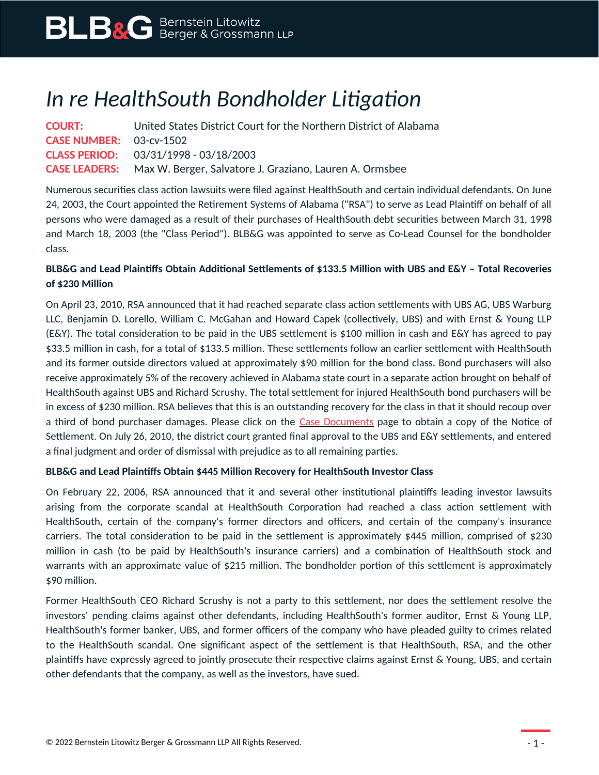# *In re HealthSouth Bondholder Litigation*

| <b>COURT:</b>                  | United States District Court for the Northern District of Alabama            |
|--------------------------------|------------------------------------------------------------------------------|
| <b>CASE NUMBER:</b> 03-cv-1502 |                                                                              |
|                                | <b>CLASS PERIOD:</b> 03/31/1998 - 03/18/2003                                 |
|                                | <b>CASE LEADERS:</b> Max W. Berger, Salvatore J. Graziano, Lauren A. Ormsbee |

Numerous securities class action lawsuits were filed against HealthSouth and certain individual defendants. On June 24, 2003, the Court appointed the Retirement Systems of Alabama ("RSA") to serve as Lead Plaintiff on behalf of all persons who were damaged as a result of their purchases of HealthSouth debt securities between March 31, 1998 and March 18, 2003 (the "Class Period"). BLB&G was appointed to serve as Co-Lead Counsel for the bondholder class.

## **BLB&G and Lead Plaintiffs Obtain Additional Settlements of \$133.5 Million with UBS and E&Y – Total Recoveries of \$230 Million**

On April 23, 2010, RSA announced that it had reached separate class action settlements with UBS AG, UBS Warburg LLC, Benjamin D. Lorello, William C. McGahan and Howard Capek (collectively, UBS) and with Ernst & Young LLP (E&Y). The total consideration to be paid in the UBS settlement is \$100 million in cash and E&Y has agreed to pay \$33.5 million in cash, for a total of \$133.5 million. These settlements follow an earlier settlement with HealthSouth and its former outside directors valued at approximately \$90 million for the bond class. Bond purchasers will also receive approximately 5% of the recovery achieved in Alabama state court in a separate action brought on behalf of HealthSouth against UBS and Richard Scrushy. The total settlement for injured HealthSouth bond purchasers will be in excess of \$230 million. RSA believes that this is an outstanding recovery for the class in that it should recoup over a third of bond purchaser damages. Please click on the [Case Documents](https://www.blbglaw.com/cases/healthsouth-corporation-inc?viewDocs=1) page to obtain a copy of the Notice of Settlement. On July 26, 2010, the district court granted final approval to the UBS and E&Y settlements, and entered a final judgment and order of dismissal with prejudice as to all remaining parties.

#### **BLB&G and Lead Plaintiffs Obtain \$445 Million Recovery for HealthSouth Investor Class**

On February 22, 2006, RSA announced that it and several other institutional plaintiffs leading investor lawsuits arising from the corporate scandal at HealthSouth Corporation had reached a class action settlement with HealthSouth, certain of the company's former directors and officers, and certain of the company's insurance carriers. The total consideration to be paid in the settlement is approximately \$445 million, comprised of \$230 million in cash (to be paid by HealthSouth's insurance carriers) and a combination of HealthSouth stock and warrants with an approximate value of \$215 million. The bondholder portion of this settlement is approximately \$90 million.

Former HealthSouth CEO Richard Scrushy is not a party to this settlement, nor does the settlement resolve the investors' pending claims against other defendants, including HealthSouth's former auditor, Ernst & Young LLP, HealthSouth's former banker, UBS, and former officers of the company who have pleaded guilty to crimes related to the HealthSouth scandal. One significant aspect of the settlement is that HealthSouth, RSA, and the other plaintiffs have expressly agreed to jointly prosecute their respective claims against Ernst & Young, UBS, and certain other defendants that the company, as well as the investors, have sued.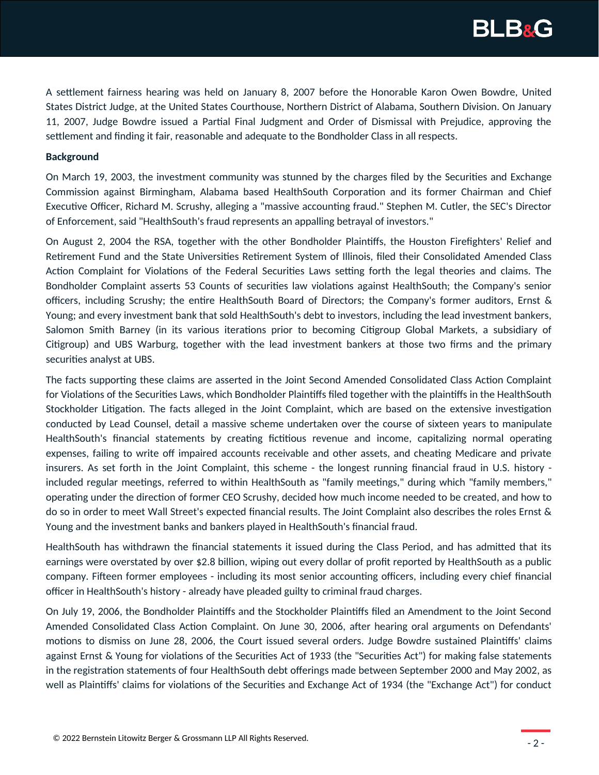

A settlement fairness hearing was held on January 8, 2007 before the Honorable Karon Owen Bowdre, United States District Judge, at the United States Courthouse, Northern District of Alabama, Southern Division. On January 11, 2007, Judge Bowdre issued a Partial Final Judgment and Order of Dismissal with Prejudice, approving the settlement and finding it fair, reasonable and adequate to the Bondholder Class in all respects.

#### **Background**

On March 19, 2003, the investment community was stunned by the charges filed by the Securities and Exchange Commission against Birmingham, Alabama based HealthSouth Corporation and its former Chairman and Chief Executive Officer, Richard M. Scrushy, alleging a "massive accounting fraud." Stephen M. Cutler, the SEC's Director of Enforcement, said "HealthSouth's fraud represents an appalling betrayal of investors."

On August 2, 2004 the RSA, together with the other Bondholder Plaintiffs, the Houston Firefighters' Relief and Retirement Fund and the State Universities Retirement System of Illinois, filed their Consolidated Amended Class Action Complaint for Violations of the Federal Securities Laws setting forth the legal theories and claims. The Bondholder Complaint asserts 53 Counts of securities law violations against HealthSouth; the Company's senior officers, including Scrushy; the entire HealthSouth Board of Directors; the Company's former auditors, Ernst & Young; and every investment bank that sold HealthSouth's debt to investors, including the lead investment bankers, Salomon Smith Barney (in its various iterations prior to becoming Citigroup Global Markets, a subsidiary of Citigroup) and UBS Warburg, together with the lead investment bankers at those two firms and the primary securities analyst at UBS.

The facts supporting these claims are asserted in the Joint Second Amended Consolidated Class Action Complaint for Violations of the Securities Laws, which Bondholder Plaintiffs filed together with the plaintiffs in the HealthSouth Stockholder Litigation. The facts alleged in the Joint Complaint, which are based on the extensive investigation conducted by Lead Counsel, detail a massive scheme undertaken over the course of sixteen years to manipulate HealthSouth's financial statements by creating fictitious revenue and income, capitalizing normal operating expenses, failing to write off impaired accounts receivable and other assets, and cheating Medicare and private insurers. As set forth in the Joint Complaint, this scheme - the longest running financial fraud in U.S. history included regular meetings, referred to within HealthSouth as "family meetings," during which "family members," operating under the direction of former CEO Scrushy, decided how much income needed to be created, and how to do so in order to meet Wall Street's expected financial results. The Joint Complaint also describes the roles Ernst & Young and the investment banks and bankers played in HealthSouth's financial fraud.

HealthSouth has withdrawn the financial statements it issued during the Class Period, and has admitted that its earnings were overstated by over \$2.8 billion, wiping out every dollar of profit reported by HealthSouth as a public company. Fifteen former employees - including its most senior accounting officers, including every chief financial officer in HealthSouth's history - already have pleaded guilty to criminal fraud charges.

On July 19, 2006, the Bondholder Plaintiffs and the Stockholder Plaintiffs filed an Amendment to the Joint Second Amended Consolidated Class Action Complaint. On June 30, 2006, after hearing oral arguments on Defendants' motions to dismiss on June 28, 2006, the Court issued several orders. Judge Bowdre sustained Plaintiffs' claims against Ernst & Young for violations of the Securities Act of 1933 (the "Securities Act") for making false statements in the registration statements of four HealthSouth debt offerings made between September 2000 and May 2002, as well as Plaintiffs' claims for violations of the Securities and Exchange Act of 1934 (the "Exchange Act") for conduct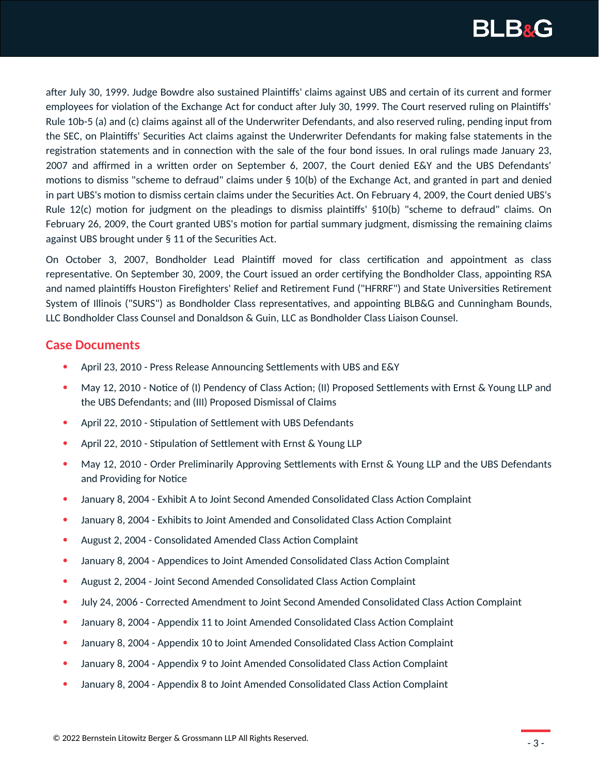

after July 30, 1999. Judge Bowdre also sustained Plaintiffs' claims against UBS and certain of its current and former employees for violation of the Exchange Act for conduct after July 30, 1999. The Court reserved ruling on Plaintiffs' Rule 10b-5 (a) and (c) claims against all of the Underwriter Defendants, and also reserved ruling, pending input from the SEC, on Plaintiffs' Securities Act claims against the Underwriter Defendants for making false statements in the registration statements and in connection with the sale of the four bond issues. In oral rulings made January 23, 2007 and affirmed in a written order on September 6, 2007, the Court denied E&Y and the UBS Defendants' motions to dismiss "scheme to defraud" claims under § 10(b) of the Exchange Act, and granted in part and denied in part UBS's motion to dismiss certain claims under the Securities Act. On February 4, 2009, the Court denied UBS's Rule 12(c) motion for judgment on the pleadings to dismiss plaintiffs' §10(b) "scheme to defraud" claims. On February 26, 2009, the Court granted UBS's motion for partial summary judgment, dismissing the remaining claims against UBS brought under § 11 of the Securities Act.

On October 3, 2007, Bondholder Lead Plaintiff moved for class certification and appointment as class representative. On September 30, 2009, the Court issued an order certifying the Bondholder Class, appointing RSA and named plaintiffs Houston Firefighters' Relief and Retirement Fund ("HFRRF") and State Universities Retirement System of Illinois ("SURS") as Bondholder Class representatives, and appointing BLB&G and Cunningham Bounds, LLC Bondholder Class Counsel and Donaldson & Guin, LLC as Bondholder Class Liaison Counsel.

### **Case Documents**

- April 23, 2010 Press Release Announcing Settlements with UBS and E&Y
- May 12, 2010 Notice of (I) Pendency of Class Action; (II) Proposed Settlements with Ernst & Young LLP and the UBS Defendants; and (III) Proposed Dismissal of Claims
- April 22, 2010 Stipulation of Settlement with UBS Defendants
- April 22, 2010 Stipulation of Settlement with Ernst & Young LLP
- May 12, 2010 Order Preliminarily Approving Settlements with Ernst & Young LLP and the UBS Defendants and Providing for Notice
- January 8, 2004 Exhibit A to Joint Second Amended Consolidated Class Action Complaint
- January 8, 2004 Exhibits to Joint Amended and Consolidated Class Action Complaint
- August 2, 2004 Consolidated Amended Class Action Complaint
- January 8, 2004 Appendices to Joint Amended Consolidated Class Action Complaint
- August 2, 2004 Joint Second Amended Consolidated Class Action Complaint
- July 24, 2006 Corrected Amendment to Joint Second Amended Consolidated Class Action Complaint
- January 8, 2004 Appendix 11 to Joint Amended Consolidated Class Action Complaint
- January 8, 2004 Appendix 10 to Joint Amended Consolidated Class Action Complaint
- January 8, 2004 Appendix 9 to Joint Amended Consolidated Class Action Complaint
- January 8, 2004 Appendix 8 to Joint Amended Consolidated Class Action Complaint